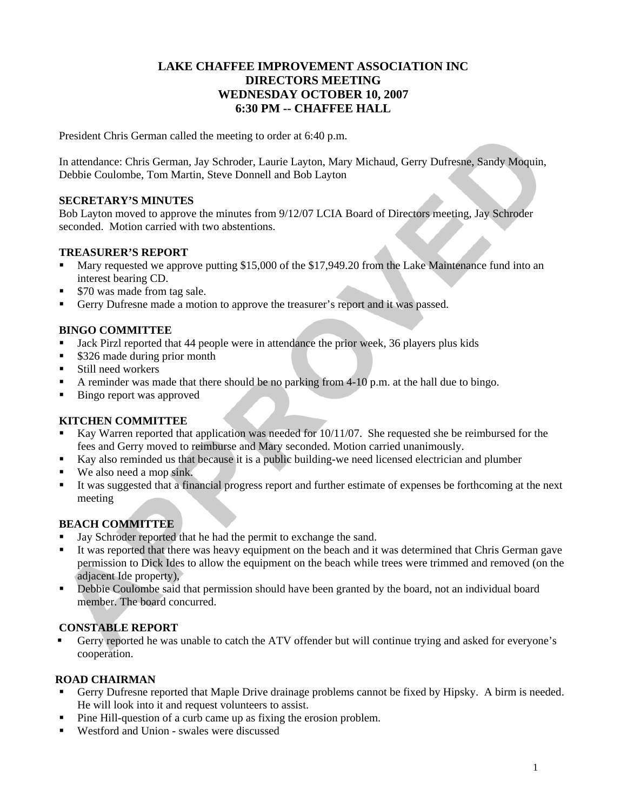# **LAKE CHAFFEE IMPROVEMENT ASSOCIATION INC DIRECTORS MEETING WEDNESDAY OCTOBER 10, 2007 6:30 PM -- CHAFFEE HALL**

President Chris German called the meeting to order at 6:40 p.m.

In attendance: Chris German, Jay Schroder, Laurie Layton, Mary Michaud, Gerry Dufresne, Sandy Moquin, Debbie Coulombe, Tom Martin, Steve Donnell and Bob Layton

### **SECRETARY'S MINUTES**

Bob Layton moved to approve the minutes from 9/12/07 LCIA Board of Directors meeting, Jay Schroder seconded. Motion carried with two abstentions.

### **TREASURER'S REPORT**

- Mary requested we approve putting \$15,000 of the \$17,949.20 from the Lake Maintenance fund into an interest bearing CD.
- \$70 was made from tag sale.
- Gerry Dufresne made a motion to approve the treasurer's report and it was passed.

# **BINGO COMMITTEE**

- Jack Pirzl reported that 44 people were in attendance the prior week, 36 players plus kids
- \$326 made during prior month
- Still need workers
- A reminder was made that there should be no parking from 4-10 p.m. at the hall due to bingo.
- Bingo report was approved

### **KITCHEN COMMITTEE**

- Kay Warren reported that application was needed for 10/11/07. She requested she be reimbursed for the fees and Gerry moved to reimburse and Mary seconded. Motion carried unanimously.
- Kay also reminded us that because it is a public building-we need licensed electrician and plumber
- We also need a mop sink.
- It was suggested that a financial progress report and further estimate of expenses be forthcoming at the next meeting

# **BEACH COMMITTEE**

- Jay Schroder reported that he had the permit to exchange the sand.
- It was reported that there was heavy equipment on the beach and it was determined that Chris German gave permission to Dick Ides to allow the equipment on the beach while trees were trimmed and removed (on the adjacent Ide property),
- Debbie Coulombe said that permission should have been granted by the board, not an individual board member. The board concurred.

# **CONSTABLE REPORT**

 Gerry reported he was unable to catch the ATV offender but will continue trying and asked for everyone's cooperation.

# **ROAD CHAIRMAN**

- Gerry Dufresne reported that Maple Drive drainage problems cannot be fixed by Hipsky. A birm is needed. He will look into it and request volunteers to assist.
- Pine Hill-question of a curb came up as fixing the erosion problem.
- Westford and Union swales were discussed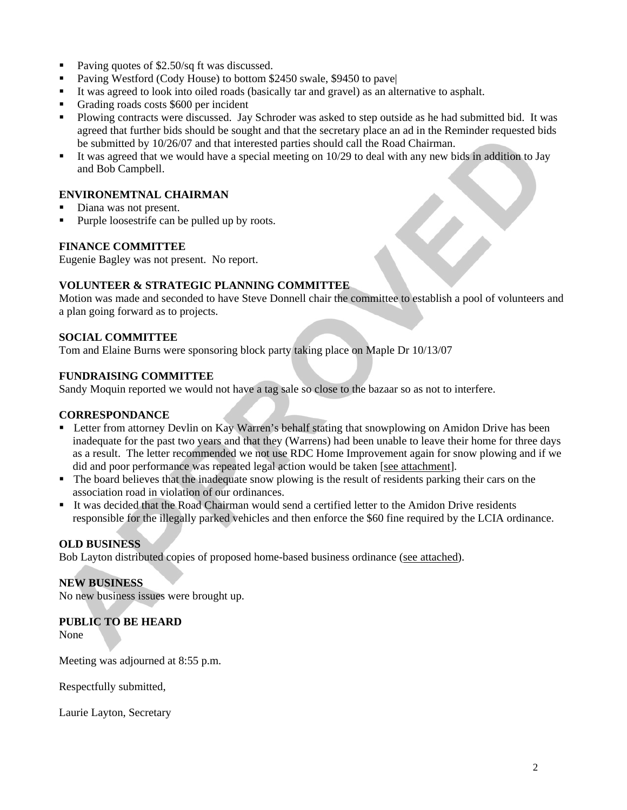- Paving quotes of \$2.50/sq ft was discussed.
- Paving Westford (Cody House) to bottom \$2450 swale, \$9450 to pave|
- It was agreed to look into oiled roads (basically tar and gravel) as an alternative to asphalt.
- Grading roads costs \$600 per incident
- **Plowing contracts were discussed. Jay Schroder was asked to step outside as he had submitted bid. It was** agreed that further bids should be sought and that the secretary place an ad in the Reminder requested bids be submitted by 10/26/07 and that interested parties should call the Road Chairman.
- It was agreed that we would have a special meeting on 10/29 to deal with any new bids in addition to Jay and Bob Campbell.

# **ENVIRONEMTNAL CHAIRMAN**

- Diana was not present.
- Purple loosestrife can be pulled up by roots.

### **FINANCE COMMITTEE**

Eugenie Bagley was not present. No report.

# **VOLUNTEER & STRATEGIC PLANNING COMMITTEE**

Motion was made and seconded to have Steve Donnell chair the committee to establish a pool of volunteers and a plan going forward as to projects.

# **SOCIAL COMMITTEE**

Tom and Elaine Burns were sponsoring block party taking place on Maple Dr 10/13/07

# **FUNDRAISING COMMITTEE**

Sandy Moquin reported we would not have a tag sale so close to the bazaar so as not to interfere.

### **CORRESPONDANCE**

- **EXECT** Letter from attorney Devlin on Kay Warren's behalf stating that snowplowing on Amidon Drive has been inadequate for the past two years and that they (Warrens) had been unable to leave their home for three days as a result. The letter recommended we not use RDC Home Improvement again for snow plowing and if we did and poor performance was repeated legal action would be taken [see attachment].
- The board believes that the inadequate snow plowing is the result of residents parking their cars on the association road in violation of our ordinances.
- It was decided that the Road Chairman would send a certified letter to the Amidon Drive residents responsible for the illegally parked vehicles and then enforce the \$60 fine required by the LCIA ordinance.

### **OLD BUSINESS**

Bob Layton distributed copies of proposed home-based business ordinance (see attached).

### **NEW BUSINESS**

No new business issues were brought up.

# **PUBLIC TO BE HEARD**

None

Meeting was adjourned at 8:55 p.m.

Respectfully submitted,

Laurie Layton, Secretary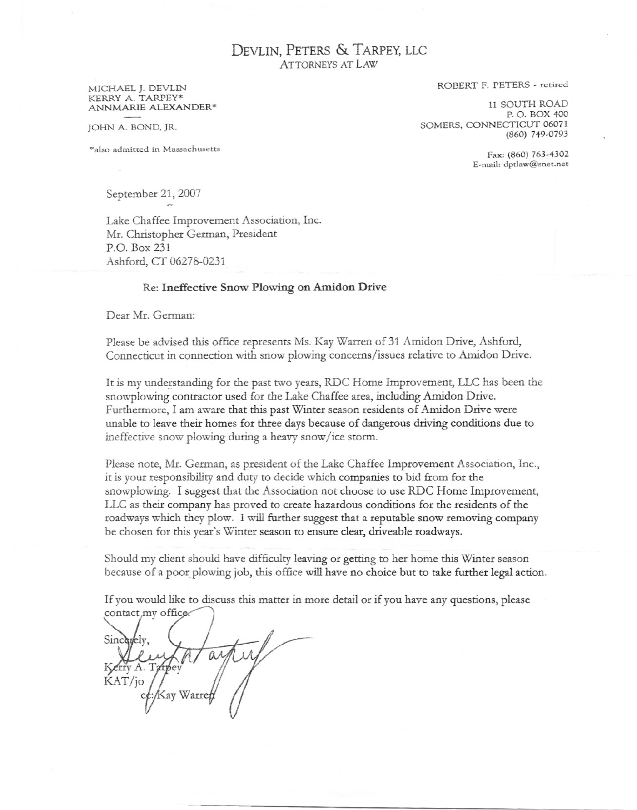DEVLIN, PETERS & TARPEY, LLC **ATTORNEYS AT LAW** 

#### MICHAEL J. DEVLIN KERRY A. TARPEY\* ANNMARIE ALEXANDER\*

JOHN A. BOND, JR.

\*also admitted in Massachusetts

ROBERT F. PETERS - retired

11 SOUTH ROAD P.O. BOX 400 SOMERS, CONNECTICUT 06071 (860) 749-0793

> Fax: (860) 763-4302 E-mail: dptlaw@snet.net

September 21, 2007

Lake Chaffee Improvement Association, Inc. Mr. Christopher German, President P.O. Box 231 Ashford, CT 06278-0231

### Re: Ineffective Snow Plowing on Amidon Drive

Dear Mr. German:

Please be advised this office represents Ms. Kay Warren of 31 Amidon Drive, Ashford, Connecticut in connection with snow plowing concerns/issues relative to Amidon Drive.

It is my understanding for the past two years, RDC Home Improvement, LLC has been the snowplowing contractor used for the Lake Chaffee area, including Amidon Drive. Furthermore, I am aware that this past Winter season residents of Amidon Drive were unable to leave their homes for three days because of dangerous driving conditions due to ineffective snow plowing during a heavy snow/ice storm.

Please note, Mr. German, as president of the Lake Chaffee Improvement Association, Inc., it is your responsibility and duty to decide which companies to bid from for the snowplowing. I suggest that the Association not choose to use RDC Home Improvement, LLC as their company has proved to create hazardous conditions for the residents of the roadways which they plow. I will further suggest that a reputable snow removing company be chosen for this year's Winter season to ensure clear, driveable roadways.

Should my client should have difficulty leaving or getting to her home this Winter season because of a poor plowing job, this office will have no choice but to take further legal action.

If you would like to discuss this matter in more detail or if you have any questions, please contact my office

Sincerely.  $OM$ Kerry A. Tarpey KAT/jo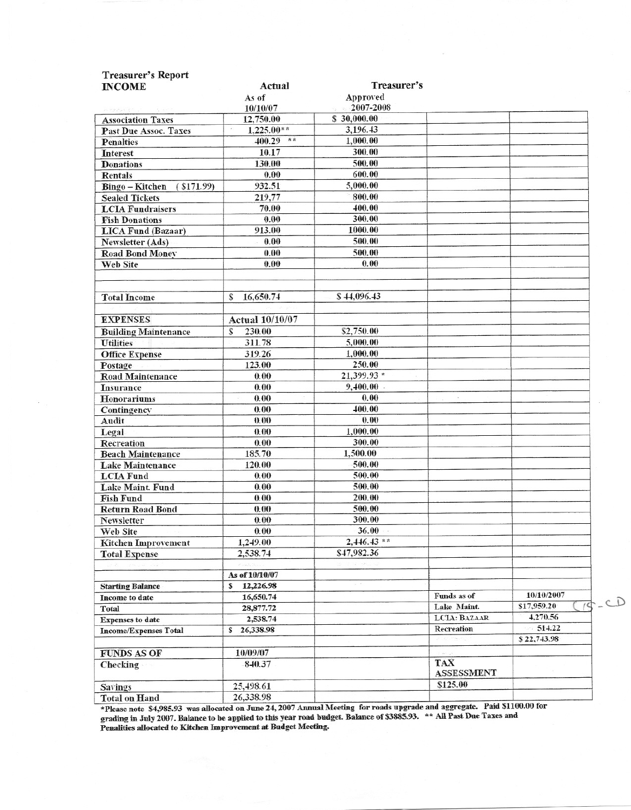| <b>Treasurer's Report</b>                                                                                            |                        |               |                   |                         |
|----------------------------------------------------------------------------------------------------------------------|------------------------|---------------|-------------------|-------------------------|
| <b>INCOME</b>                                                                                                        | Actual                 | Treasurer's   |                   |                         |
|                                                                                                                      | As of                  | Approved      |                   |                         |
| $\label{eq:2.1} \rho_{\lambda}=\rho_{\lambda}\rho_{\lambda}\rho_{\lambda}+\rho_{\lambda}^{\mu}\rho_{\lambda}^{\mu},$ | 10/10/07               | 2007-2008     |                   |                         |
| <b>Association Taxes</b>                                                                                             | 12,750.00<br>$\lambda$ | \$30,000.00   |                   |                         |
| Past Due Assoc. Taxes                                                                                                | $1,225.00**$           | 3,196.43      |                   |                         |
| <b>Penalties</b>                                                                                                     | $400.29$ **            | 1,000.00      |                   |                         |
| Interest                                                                                                             | 10.17                  | 300.00        |                   |                         |
| <b>Donations</b>                                                                                                     | 130.00                 | 500.00        |                   |                         |
| Rentals                                                                                                              | 0.00                   | 600.00        |                   |                         |
| ( \$171.99)<br>Bingo - Kitchen                                                                                       | 932.51                 | 5,000.00      |                   |                         |
| <b>Sealed Tickets</b>                                                                                                | 219,77                 | 800.00        |                   |                         |
| <b>LCIA Fundraisers</b>                                                                                              | 70.00                  | 400.00        |                   |                         |
| <b>Fish Donations</b>                                                                                                | 0.00                   | 300.00        |                   |                         |
| <b>LICA Fund (Bazaar)</b>                                                                                            | 913.00                 | 1000.00       |                   |                         |
| Newsletter (Ads)                                                                                                     | 0.00                   | 500.00        |                   |                         |
| <b>Road Bond Money</b>                                                                                               | 0.00                   | 500.00        |                   |                         |
| Web Site                                                                                                             | 0.00                   | 0.00          |                   |                         |
|                                                                                                                      |                        |               |                   |                         |
|                                                                                                                      |                        |               |                   |                         |
| <b>Total Income</b>                                                                                                  | 16,650.74<br>S         | \$44,096.43   |                   |                         |
|                                                                                                                      |                        |               |                   |                         |
| <b>EXPENSES</b>                                                                                                      | Actual 10/10/07        |               |                   |                         |
| <b>Building Maintenance</b>                                                                                          | 230.00<br>S            | \$2,750.00    |                   |                         |
| <b>Utilities</b>                                                                                                     | 311.78                 | 5,000.00      |                   |                         |
| <b>Office Expense</b>                                                                                                | 319.26                 | 1,000.00      |                   |                         |
| Postage                                                                                                              | 123.00                 | 250.00        |                   |                         |
| <b>Road Maintenance</b>                                                                                              | 0.00                   | 21,399.93 *   |                   |                         |
| <b>Insurance</b>                                                                                                     | 0.00                   | 9,400.00      |                   |                         |
| Honorariums                                                                                                          | 0.00                   | 0.00          |                   |                         |
| Contingency                                                                                                          | 0.00                   | 400.00        |                   |                         |
| Audit                                                                                                                | 0.00                   | 0.00          |                   |                         |
| Legal                                                                                                                | 0.00                   | 1,000.00      |                   |                         |
| Recreation                                                                                                           | 0.00                   | 300.00        |                   |                         |
| <b>Beach Maintenance</b>                                                                                             | 185.70                 | 1,500.00      |                   |                         |
| <b>Lake Maintenance</b>                                                                                              | 120.00                 | 500.00        |                   |                         |
| <b>LCIA Fund</b>                                                                                                     | 0.00                   | 500.00        |                   |                         |
| Lake Maint. Fund                                                                                                     | 0.00                   | 500.00        |                   |                         |
| <b>Fish Fund</b>                                                                                                     | 0.00                   | 200.00        |                   |                         |
| <b>Return Road Bond</b>                                                                                              | 0.00                   | 500.00        |                   |                         |
| Newsletter                                                                                                           | 0.00                   | 300.00        |                   |                         |
| Web Site                                                                                                             | 0.00                   | 36.00         |                   |                         |
| <b>Kitchen Improvement</b>                                                                                           | 1,249.00               | $2,446.43$ ** |                   |                         |
| <b>Total Expense</b>                                                                                                 | 2,538.74               | \$47,982.36   |                   |                         |
|                                                                                                                      |                        |               |                   |                         |
|                                                                                                                      | As of 10/10/07         |               |                   |                         |
| <b>Starting Balance</b>                                                                                              | 12,226.98<br>s         |               |                   |                         |
| Income to date                                                                                                       | 16,650.74              |               | Funds as of       | 10/10/2007              |
| Total                                                                                                                | 28,877.72              |               | Lake Maint.       | \$17,959.20<br>$\prime$ |
| <b>Expenses</b> to date                                                                                              | 2,538.74               |               | LCIA: BAZAAR      | 4,270.56                |
| <b>Income/Expenses Total</b>                                                                                         | 26,338.98<br>s         |               | Recreation        | 514.22                  |
|                                                                                                                      |                        |               |                   | \$22,743.98             |
| <b>FUNDS AS OF</b>                                                                                                   | 10/09/07               |               |                   |                         |
| Checking                                                                                                             | 840.37                 |               | TAX               |                         |
|                                                                                                                      |                        |               | <b>ASSESSMENT</b> |                         |
| <b>Savings</b>                                                                                                       | 25,498.61              |               | \$125.00          |                         |
| <b>Total on Hand</b>                                                                                                 | 26,338.98              |               |                   |                         |
|                                                                                                                      |                        |               |                   |                         |

 $\sim$ 

Total on Hand 26,338.98<br>\*Please note \$4,985.93 was allocated on June 24, 2007 Annual Meeting for roads upgrade and aggregate. Paid \$1100.00 for<br>grading in July 2007. Balance to be applied to this year road budget. Balance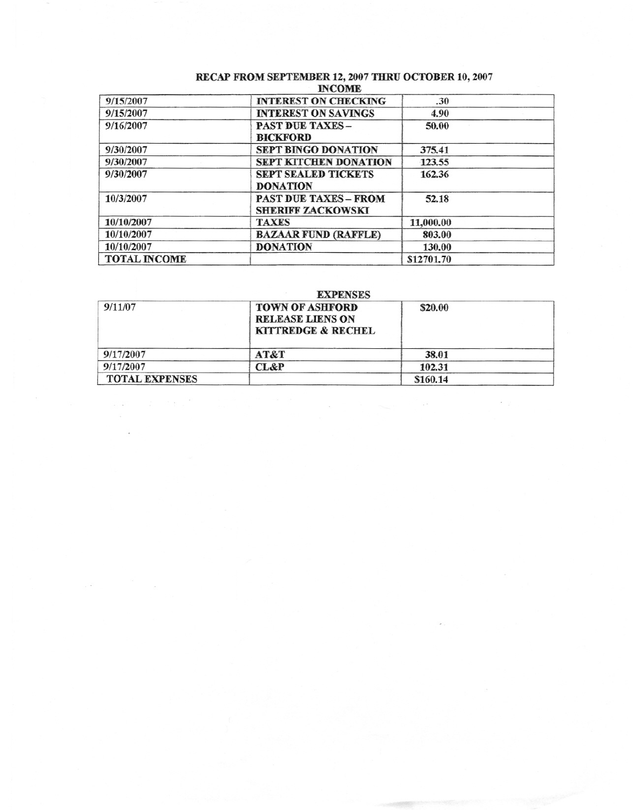# RECAP FROM SEPTEMBER 12, 2007 THRU OCTOBER 10, 2007<br>INCOME

| 9/15/2007           | <b>INTEREST ON CHECKING</b>                              | .30        |  |  |
|---------------------|----------------------------------------------------------|------------|--|--|
| 9/15/2007           | <b>INTEREST ON SAVINGS</b>                               | 4.90       |  |  |
| 9/16/2007           | <b>PAST DUE TAXES -</b><br><b>BICKFORD</b>               | 50.00      |  |  |
| 9/30/2007           | <b>SEPT BINGO DONATION</b>                               | 375.41     |  |  |
| 9/30/2007           | SEPT KITCHEN DONATION                                    | 123.55     |  |  |
| 9/30/2007           | <b>SEPT SEALED TICKETS</b><br><b>DONATION</b>            | 162.36     |  |  |
| 10/3/2007           | <b>PAST DUE TAXES - FROM</b><br><b>SHERIFF ZACKOWSKI</b> | 52.18      |  |  |
| 10/10/2007          | <b>TAXES</b>                                             | 11,000.00  |  |  |
| 10/10/2007          | <b>BAZAAR FUND (RAFFLE)</b>                              | 803.00     |  |  |
| 10/10/2007          | <b>DONATION</b>                                          | 130.00     |  |  |
| <b>TOTAL INCOME</b> |                                                          | \$12701.70 |  |  |

# **EXPENSES**

| 9/11/07               | <b>TOWN OF ASHFORD</b><br><b>RELEASE LIENS ON</b><br>KITTREDGE & RECHEL | \$20.00  |  |
|-----------------------|-------------------------------------------------------------------------|----------|--|
| 9/17/2007             | AT&T                                                                    | 38.01    |  |
| 9/17/2007             | <b>CL&amp;P</b>                                                         | 102.31   |  |
| <b>TOTAL EXPENSES</b> |                                                                         | \$160.14 |  |

 $\sim$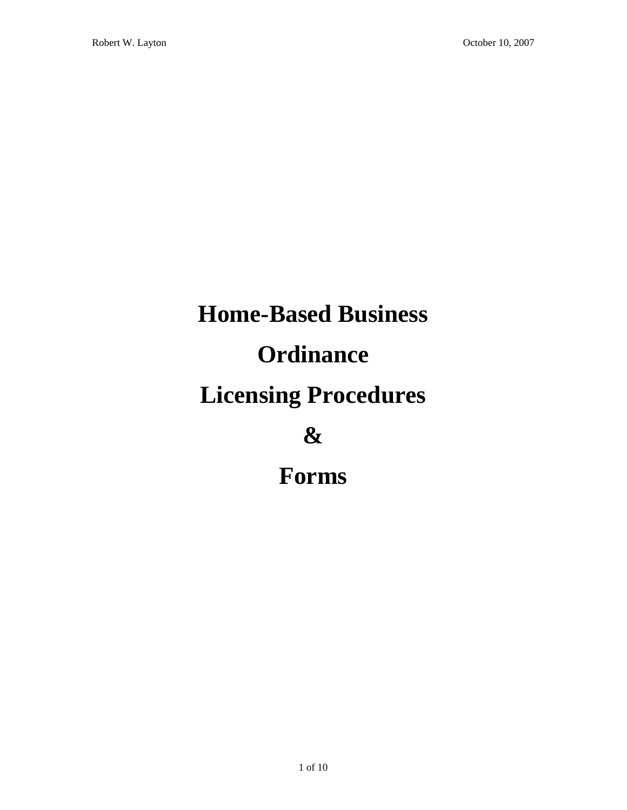# **Home-Based Business Ordinance Licensing Procedures & Forms**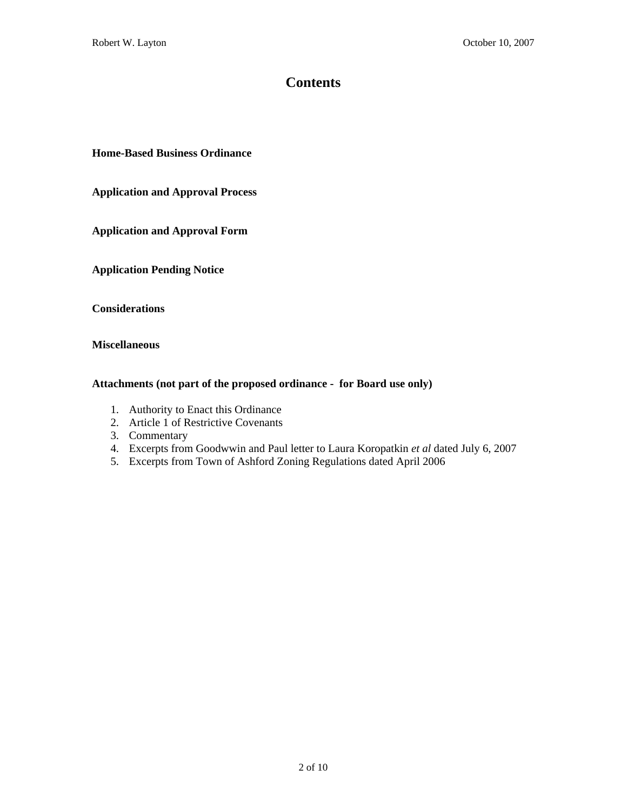# **Contents**

**Home-Based Business Ordinance** 

**Application and Approval Process** 

**Application and Approval Form** 

**Application Pending Notice** 

**Considerations** 

**Miscellaneous** 

### **Attachments (not part of the proposed ordinance - for Board use only)**

- 1. Authority to Enact this Ordinance
- 2. Article 1 of Restrictive Covenants
- 3. Commentary
- 4. Excerpts from Goodwwin and Paul letter to Laura Koropatkin *et al* dated July 6, 2007
- 5. Excerpts from Town of Ashford Zoning Regulations dated April 2006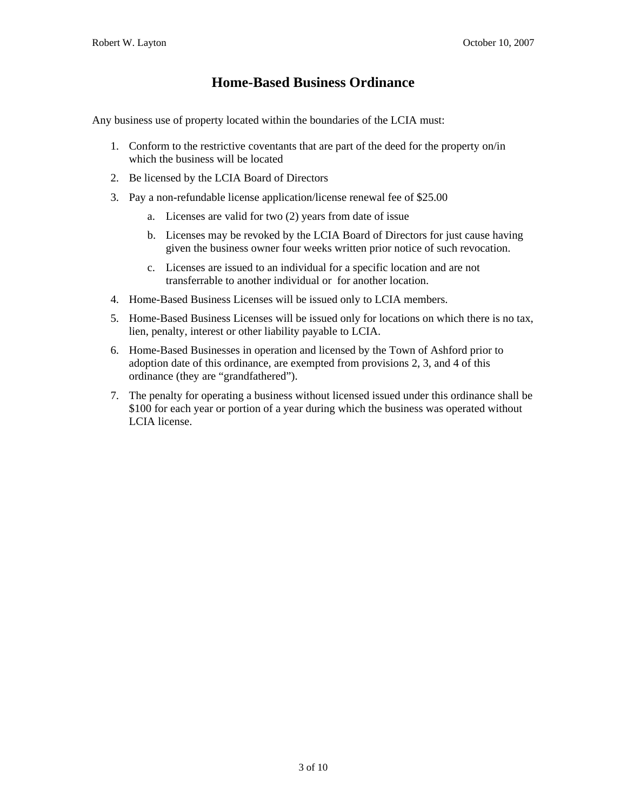# **Home-Based Business Ordinance**

Any business use of property located within the boundaries of the LCIA must:

- 1. Conform to the restrictive coventants that are part of the deed for the property on/in which the business will be located
- 2. Be licensed by the LCIA Board of Directors
- 3. Pay a non-refundable license application/license renewal fee of \$25.00
	- a. Licenses are valid for two (2) years from date of issue
	- b. Licenses may be revoked by the LCIA Board of Directors for just cause having given the business owner four weeks written prior notice of such revocation.
	- c. Licenses are issued to an individual for a specific location and are not transferrable to another individual or for another location.
- 4. Home-Based Business Licenses will be issued only to LCIA members.
- 5. Home-Based Business Licenses will be issued only for locations on which there is no tax, lien, penalty, interest or other liability payable to LCIA.
- 6. Home-Based Businesses in operation and licensed by the Town of Ashford prior to adoption date of this ordinance, are exempted from provisions 2, 3, and 4 of this ordinance (they are "grandfathered").
- 7. The penalty for operating a business without licensed issued under this ordinance shall be \$100 for each year or portion of a year during which the business was operated without LCIA license.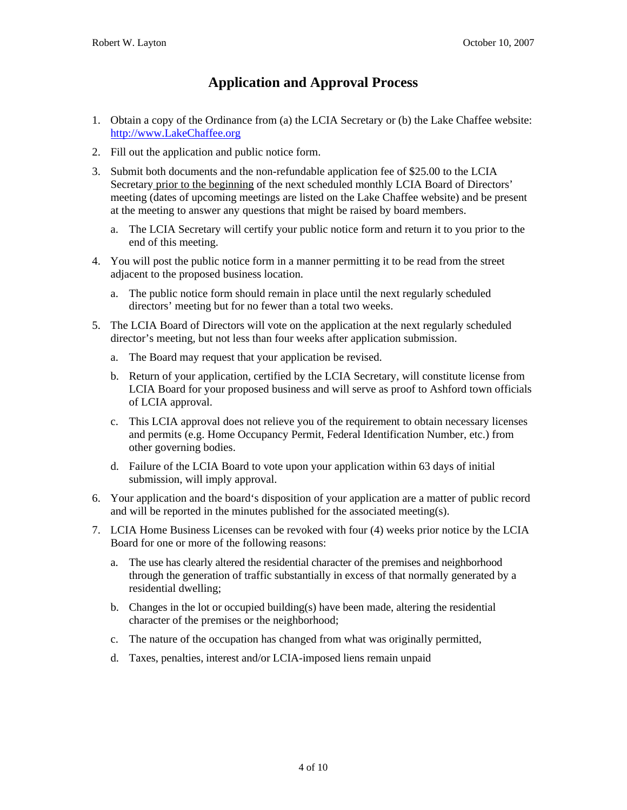# **Application and Approval Process**

- 1. Obtain a copy of the Ordinance from (a) the LCIA Secretary or (b) the Lake Chaffee website: http://www.LakeChaffee.org
- 2. Fill out the application and public notice form.
- 3. Submit both documents and the non-refundable application fee of \$25.00 to the LCIA Secretary prior to the beginning of the next scheduled monthly LCIA Board of Directors' meeting (dates of upcoming meetings are listed on the Lake Chaffee website) and be present at the meeting to answer any questions that might be raised by board members.
	- a. The LCIA Secretary will certify your public notice form and return it to you prior to the end of this meeting.
- 4. You will post the public notice form in a manner permitting it to be read from the street adjacent to the proposed business location.
	- a. The public notice form should remain in place until the next regularly scheduled directors' meeting but for no fewer than a total two weeks.
- 5. The LCIA Board of Directors will vote on the application at the next regularly scheduled director's meeting, but not less than four weeks after application submission.
	- a. The Board may request that your application be revised.
	- b. Return of your application, certified by the LCIA Secretary, will constitute license from LCIA Board for your proposed business and will serve as proof to Ashford town officials of LCIA approval.
	- c. This LCIA approval does not relieve you of the requirement to obtain necessary licenses and permits (e.g. Home Occupancy Permit, Federal Identification Number, etc.) from other governing bodies.
	- d. Failure of the LCIA Board to vote upon your application within 63 days of initial submission, will imply approval.
- 6. Your application and the board's disposition of your application are a matter of public record and will be reported in the minutes published for the associated meeting(s).
- 7. LCIA Home Business Licenses can be revoked with four (4) weeks prior notice by the LCIA Board for one or more of the following reasons:
	- a. The use has clearly altered the residential character of the premises and neighborhood through the generation of traffic substantially in excess of that normally generated by a residential dwelling;
	- b. Changes in the lot or occupied building(s) have been made, altering the residential character of the premises or the neighborhood;
	- c. The nature of the occupation has changed from what was originally permitted,
	- d. Taxes, penalties, interest and/or LCIA-imposed liens remain unpaid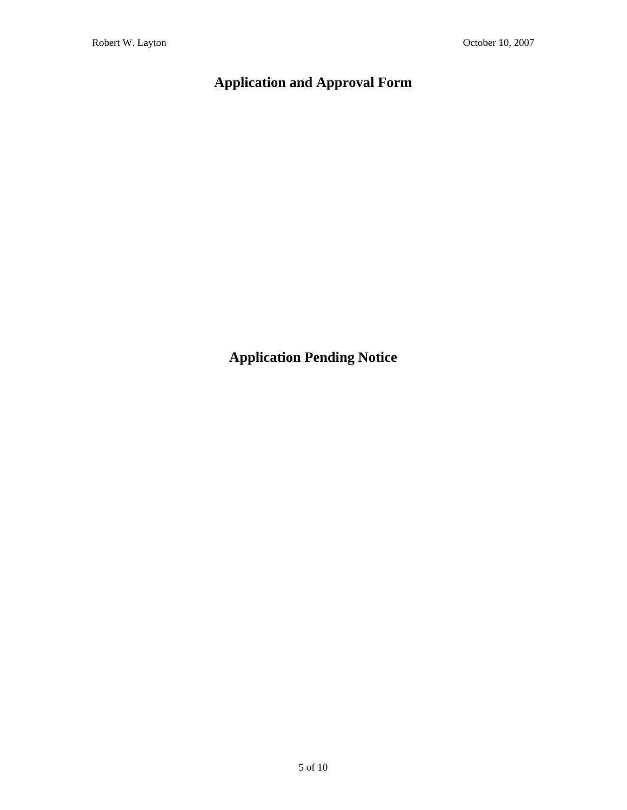# **Application and Approval Form**

**Application Pending Notice**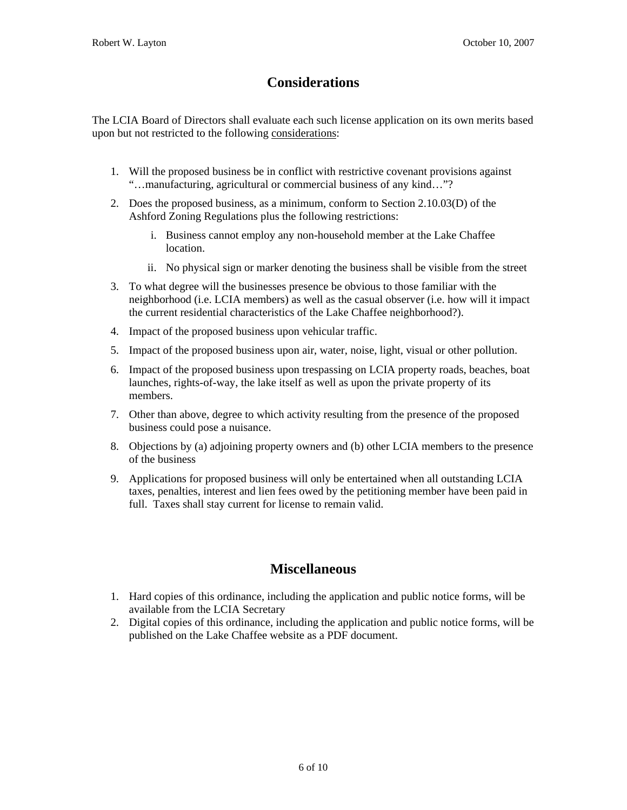# **Considerations**

The LCIA Board of Directors shall evaluate each such license application on its own merits based upon but not restricted to the following considerations:

- 1. Will the proposed business be in conflict with restrictive covenant provisions against "…manufacturing, agricultural or commercial business of any kind…"?
- 2. Does the proposed business, as a minimum, conform to Section 2.10.03(D) of the Ashford Zoning Regulations plus the following restrictions:
	- i. Business cannot employ any non-household member at the Lake Chaffee location.
	- ii. No physical sign or marker denoting the business shall be visible from the street
- 3. To what degree will the businesses presence be obvious to those familiar with the neighborhood (i.e. LCIA members) as well as the casual observer (i.e. how will it impact the current residential characteristics of the Lake Chaffee neighborhood?).
- 4. Impact of the proposed business upon vehicular traffic.
- 5. Impact of the proposed business upon air, water, noise, light, visual or other pollution.
- 6. Impact of the proposed business upon trespassing on LCIA property roads, beaches, boat launches, rights-of-way, the lake itself as well as upon the private property of its members.
- 7. Other than above, degree to which activity resulting from the presence of the proposed business could pose a nuisance.
- 8. Objections by (a) adjoining property owners and (b) other LCIA members to the presence of the business
- 9. Applications for proposed business will only be entertained when all outstanding LCIA taxes, penalties, interest and lien fees owed by the petitioning member have been paid in full. Taxes shall stay current for license to remain valid.

# **Miscellaneous**

- 1. Hard copies of this ordinance, including the application and public notice forms, will be available from the LCIA Secretary
- 2. Digital copies of this ordinance, including the application and public notice forms, will be published on the Lake Chaffee website as a PDF document.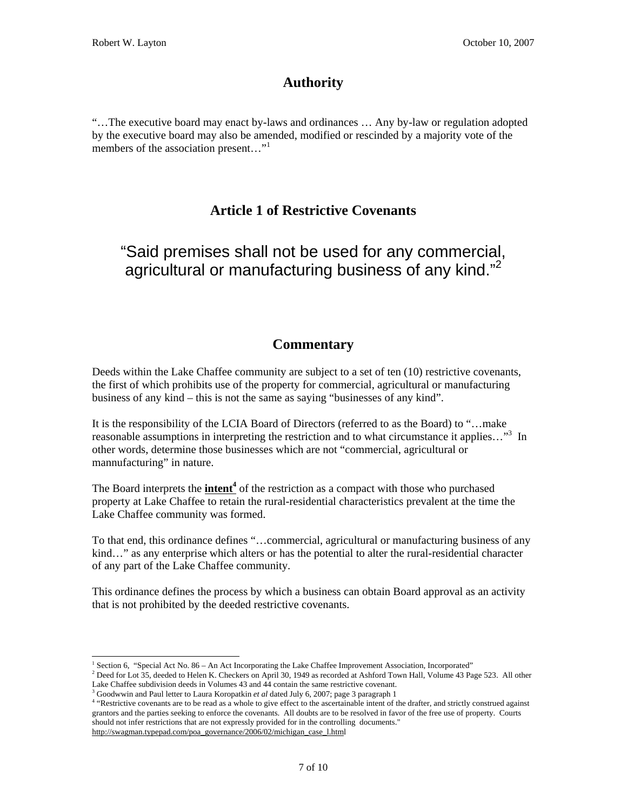# **Authority**

"…The executive board may enact by-laws and ordinances … Any by-law or regulation adopted by the executive board may also be amended, modified or rescinded by a majority vote of the members of the association present..."<sup>1</sup>

# **Article 1 of Restrictive Covenants**

# "Said premises shall not be used for any commercial, agricultural or manufacturing business of any kind."<sup>2</sup>

# **Commentary**

Deeds within the Lake Chaffee community are subject to a set of ten (10) restrictive covenants, the first of which prohibits use of the property for commercial, agricultural or manufacturing business of any kind – this is not the same as saying "businesses of any kind".

It is the responsibility of the LCIA Board of Directors (referred to as the Board) to "…make reasonable assumptions in interpreting the restriction and to what circumstance it applies..."<sup>3</sup> In other words, determine those businesses which are not "commercial, agricultural or mannufacturing" in nature.

The Board interprets the **intent<sup>4</sup>** of the restriction as a compact with those who purchased property at Lake Chaffee to retain the rural-residential characteristics prevalent at the time the Lake Chaffee community was formed.

To that end, this ordinance defines "…commercial, agricultural or manufacturing business of any kind..." as any enterprise which alters or has the potential to alter the rural-residential character of any part of the Lake Chaffee community.

This ordinance defines the process by which a business can obtain Board approval as an activity that is not prohibited by the deeded restrictive covenants.

 $\overline{a}$ <sup>1</sup> Section 6, "Special Act No. 86 – An Act Incorporating the Lake Chaffee Improvement Association, Incorporated"<br><sup>2</sup> Dead for Lat 25, deaded to Helen K. Chaeliers on April 20, 1949 as recepted at Achford Teurs Hell, Volu

 $^2$  Deed for Lot 35, deeded to Helen K. Checkers on April 30, 1949 as recorded at Ashford Town Hall, Volume 43 Page 523. All other Lake Chaffee subdivision deeds in Volumes  $43$  and  $44$  contain the same restrictive covenant.

<sup>&</sup>lt;sup>3</sup> Goodwwin and Paul letter to Laura Koropatkin *et al* dated July 6, 2007; page 3 paragraph 1

<sup>&</sup>lt;sup>4</sup> "Restrictive covenants are to be read as a whole to give effect to the ascertainable intent of the drafter, and strictly construed against grantors and the parties seeking to enforce the covenants. All doubts are to be resolved in favor of the free use of property. Courts should not infer restrictions that are not expressly provided for in the controlling documents." http://swagman.typepad.com/poa\_governance/2006/02/michigan\_case\_l.html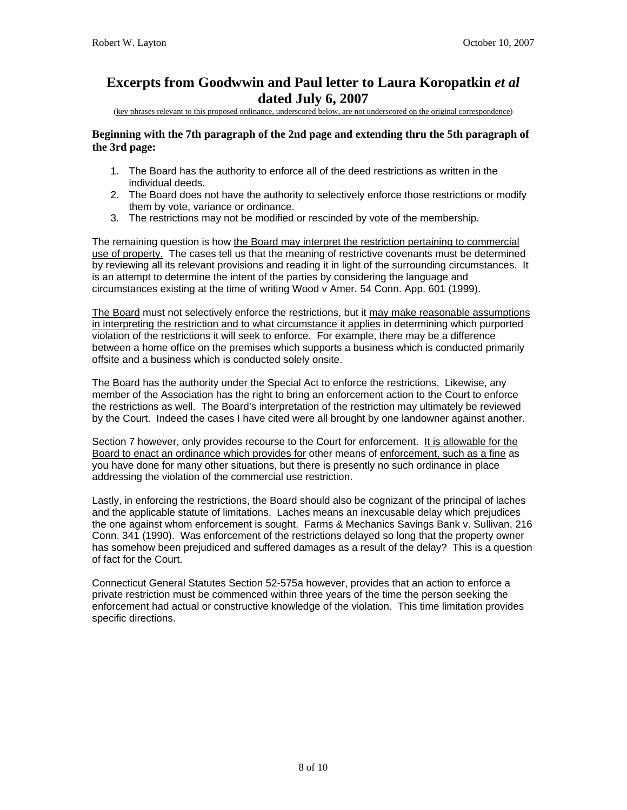# **Excerpts from Goodwwin and Paul letter to Laura Koropatkin** *et al* **dated July 6, 2007**

(key phrases relevant to this proposed ordinance, underscored below, are not underscored on the original correspondence)

### **Beginning with the 7th paragraph of the 2nd page and extending thru the 5th paragraph of the 3rd page:**

- 1. The Board has the authority to enforce all of the deed restrictions as written in the individual deeds.
- 2. The Board does not have the authority to selectively enforce those restrictions or modify them by vote, variance or ordinance.
- 3. The restrictions may not be modified or rescinded by vote of the membership.

The remaining question is how the Board may interpret the restriction pertaining to commercial use of property. The cases tell us that the meaning of restrictive covenants must be determined by reviewing all its relevant provisions and reading it in light of the surrounding circumstances. It is an attempt to determine the intent of the parties by considering the language and circumstances existing at the time of writing Wood v Amer. 54 Conn. App. 601 (1999).

The Board must not selectively enforce the restrictions, but it may make reasonable assumptions in interpreting the restriction and to what circumstance it applies in determining which purported violation of the restrictions it will seek to enforce. For example, there may be a difference between a home office on the premises which supports a business which is conducted primarily offsite and a business which is conducted solely onsite.

The Board has the authority under the Special Act to enforce the restrictions. Likewise, any member of the Association has the right to bring an enforcement action to the Court to enforce the restrictions as well. The Board's interpretation of the restriction may ultimately be reviewed by the Court. Indeed the cases I have cited were all brought by one landowner against another.

Section 7 however, only provides recourse to the Court for enforcement. It is allowable for the Board to enact an ordinance which provides for other means of enforcement, such as a fine as you have done for many other situations, but there is presently no such ordinance in place addressing the violation of the commercial use restriction.

Lastly, in enforcing the restrictions, the Board should also be cognizant of the principal of laches and the applicable statute of limitations. Laches means an inexcusable delay which prejudices the one against whom enforcement is sought. Farms & Mechanics Savings Bank v. Sullivan, 216 Conn. 341 (1990). Was enforcement of the restrictions delayed so long that the property owner has somehow been prejudiced and suffered damages as a result of the delay? This is a question of fact for the Court.

Connecticut General Statutes Section 52-575a however, provides that an action to enforce a private restriction must be commenced within three years of the time the person seeking the enforcement had actual or constructive knowledge of the violation. This time limitation provides specific directions.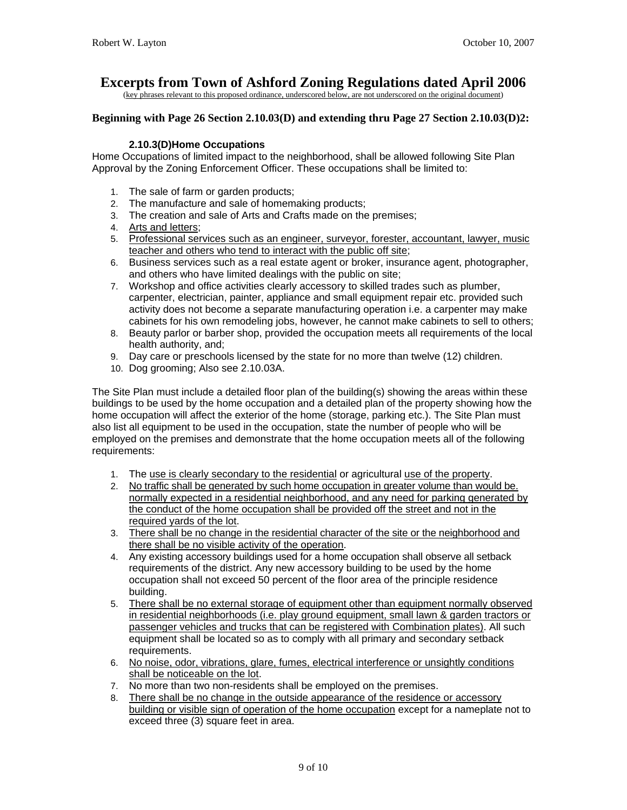# **Excerpts from Town of Ashford Zoning Regulations dated April 2006**

(key phrases relevant to this proposed ordinance, underscored below, are not underscored on the original document)

# **Beginning with Page 26 Section 2.10.03(D) and extending thru Page 27 Section 2.10.03(D)2:**

# **2.10.3(D)Home Occupations**

Home Occupations of limited impact to the neighborhood, shall be allowed following Site Plan Approval by the Zoning Enforcement Officer. These occupations shall be limited to:

- 1. The sale of farm or garden products;
- 2. The manufacture and sale of homemaking products;
- 3. The creation and sale of Arts and Crafts made on the premises;
- 4. Arts and letters;
- 5. Professional services such as an engineer, surveyor, forester, accountant, lawyer, music teacher and others who tend to interact with the public off site;
- 6. Business services such as a real estate agent or broker, insurance agent, photographer, and others who have limited dealings with the public on site;
- 7. Workshop and office activities clearly accessory to skilled trades such as plumber, carpenter, electrician, painter, appliance and small equipment repair etc. provided such activity does not become a separate manufacturing operation i.e. a carpenter may make cabinets for his own remodeling jobs, however, he cannot make cabinets to sell to others;
- 8. Beauty parlor or barber shop, provided the occupation meets all requirements of the local health authority, and;
- 9. Day care or preschools licensed by the state for no more than twelve (12) children.
- 10. Dog grooming; Also see 2.10.03A.

The Site Plan must include a detailed floor plan of the building(s) showing the areas within these buildings to be used by the home occupation and a detailed plan of the property showing how the home occupation will affect the exterior of the home (storage, parking etc.). The Site Plan must also list all equipment to be used in the occupation, state the number of people who will be employed on the premises and demonstrate that the home occupation meets all of the following requirements:

- 1. The use is clearly secondary to the residential or agricultural use of the property.
- 2. No traffic shall be generated by such home occupation in greater volume than would be. normally expected in a residential neighborhood, and any need for parking generated by the conduct of the home occupation shall be provided off the street and not in the required yards of the lot.
- 3. There shall be no change in the residential character of the site or the neighborhood and there shall be no visible activity of the operation.
- 4. Any existing accessory buildings used for a home occupation shall observe all setback requirements of the district. Any new accessory building to be used by the home occupation shall not exceed 50 percent of the floor area of the principle residence building.
- 5. There shall be no external storage of equipment other than equipment normally observed in residential neighborhoods (i.e. play ground equipment, small lawn & garden tractors or passenger vehicles and trucks that can be registered with Combination plates). All such equipment shall be located so as to comply with all primary and secondary setback requirements.
- 6. No noise, odor, vibrations, glare, fumes, electrical interference or unsightly conditions shall be noticeable on the lot.
- 7. No more than two non-residents shall be employed on the premises.
- 8. There shall be no change in the outside appearance of the residence or accessory building or visible sign of operation of the home occupation except for a nameplate not to exceed three (3) square feet in area.